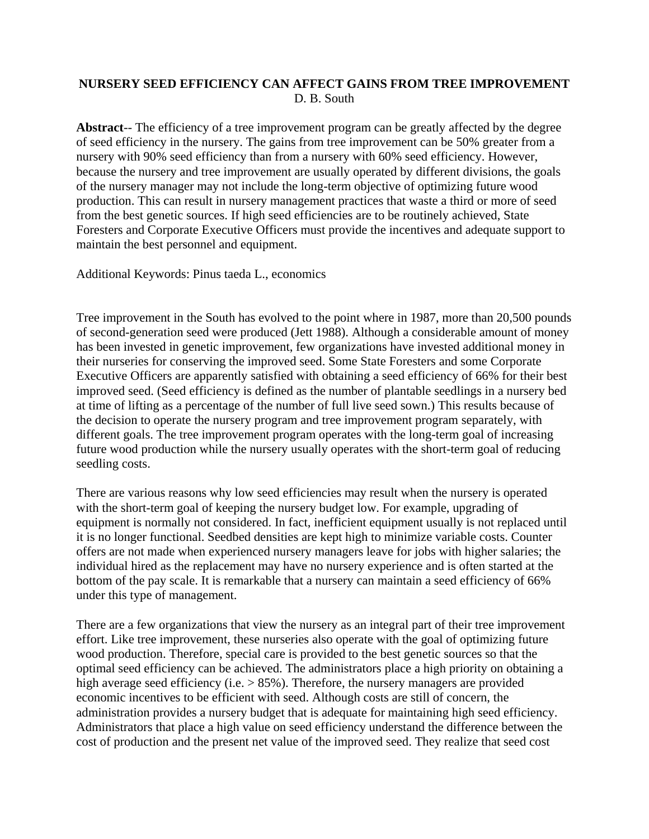## **NURSERY SEED EFFICIENCY CAN AFFECT GAINS FROM TREE IMPROVEMENT**  D. B. South

**Abstract**-- The efficiency of a tree improvement program can be greatly affected by the degree of seed efficiency in the nursery. The gains from tree improvement can be 50% greater from a nursery with 90% seed efficiency than from a nursery with 60% seed efficiency. However, because the nursery and tree improvement are usually operated by different divisions, the goals of the nursery manager may not include the long-term objective of optimizing future wood production. This can result in nursery management practices that waste a third or more of seed from the best genetic sources. If high seed efficiencies are to be routinely achieved, State Foresters and Corporate Executive Officers must provide the incentives and adequate support to maintain the best personnel and equipment.

Additional Keywords: Pinus taeda L., economics

Tree improvement in the South has evolved to the point where in 1987, more than 20,500 pounds of second-generation seed were produced (Jett 1988). Although a considerable amount of money has been invested in genetic improvement, few organizations have invested additional money in their nurseries for conserving the improved seed. Some State Foresters and some Corporate Executive Officers are apparently satisfied with obtaining a seed efficiency of 66% for their best improved seed. (Seed efficiency is defined as the number of plantable seedlings in a nursery bed at time of lifting as a percentage of the number of full live seed sown.) This results because of the decision to operate the nursery program and tree improvement program separately, with different goals. The tree improvement program operates with the long-term goal of increasing future wood production while the nursery usually operates with the short-term goal of reducing seedling costs.

There are various reasons why low seed efficiencies may result when the nursery is operated with the short-term goal of keeping the nursery budget low. For example, upgrading of equipment is normally not considered. In fact, inefficient equipment usually is not replaced until it is no longer functional. Seedbed densities are kept high to minimize variable costs. Counter offers are not made when experienced nursery managers leave for jobs with higher salaries; the individual hired as the replacement may have no nursery experience and is often started at the bottom of the pay scale. It is remarkable that a nursery can maintain a seed efficiency of 66% under this type of management.

There are a few organizations that view the nursery as an integral part of their tree improvement effort. Like tree improvement, these nurseries also operate with the goal of optimizing future wood production. Therefore, special care is provided to the best genetic sources so that the optimal seed efficiency can be achieved. The administrators place a high priority on obtaining a high average seed efficiency (i.e.  $> 85\%$ ). Therefore, the nursery managers are provided economic incentives to be efficient with seed. Although costs are still of concern, the administration provides a nursery budget that is adequate for maintaining high seed efficiency. Administrators that place a high value on seed efficiency understand the difference between the cost of production and the present net value of the improved seed. They realize that seed cost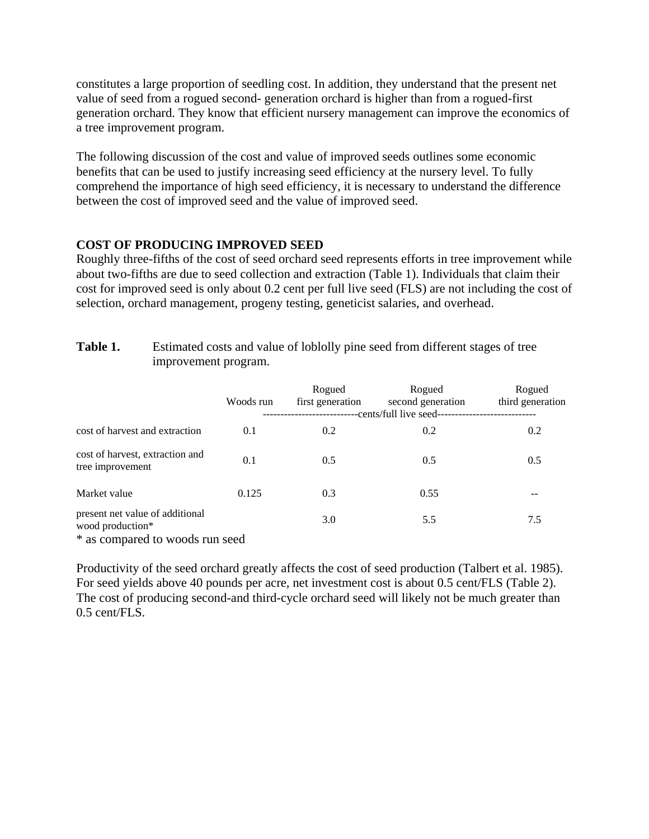constitutes a large proportion of seedling cost. In addition, they understand that the present net value of seed from a rogued second- generation orchard is higher than from a rogued-first generation orchard. They know that efficient nursery management can improve the economics of a tree improvement program.

The following discussion of the cost and value of improved seeds outlines some economic benefits that can be used to justify increasing seed efficiency at the nursery level. To fully comprehend the importance of high seed efficiency, it is necessary to understand the difference between the cost of improved seed and the value of improved seed.

## **COST OF PRODUCING IMPROVED SEED**

Roughly three-fifths of the cost of seed orchard seed represents efforts in tree improvement while about two-fifths are due to seed collection and extraction (Table 1). Individuals that claim their cost for improved seed is only about 0.2 cent per full live seed (FLS) are not including the cost of selection, orchard management, progeny testing, geneticist salaries, and overhead.

| Table 1. | Estimated costs and value of loblolly pine seed from different stages of tree |
|----------|-------------------------------------------------------------------------------|
|          | improvement program.                                                          |

| Woods run | Rogued<br>first generation      | Rogued<br>second generation | Rogued<br>third generation |
|-----------|---------------------------------|-----------------------------|----------------------------|
| 0.1       | 0.2                             | 0.2                         | 0.2                        |
| 0.1       | 0.5                             | 0.5                         | 0.5                        |
| 0.125     | 0.3                             | 0.55                        |                            |
|           | 3.0                             | 5.5                         | 7.5                        |
|           | * as compared to woods run seed |                             | -cents/full live seed--    |

Productivity of the seed orchard greatly affects the cost of seed production (Talbert et al. 1985). For seed yields above 40 pounds per acre, net investment cost is about 0.5 cent/FLS (Table 2). The cost of producing second-and third-cycle orchard seed will likely not be much greater than 0.5 cent/FLS.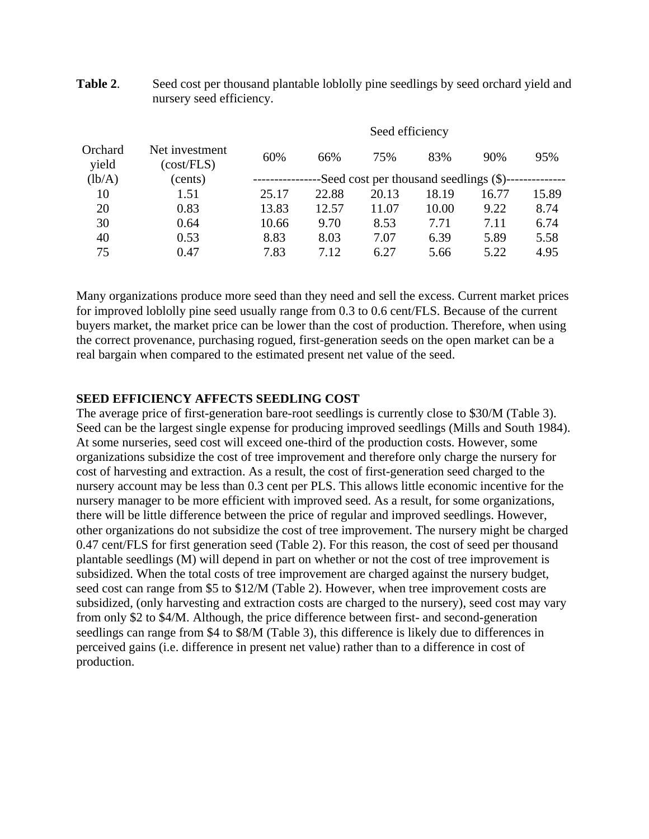|                  |                              | Seed efficiency                         |       |       |       |       |       |
|------------------|------------------------------|-----------------------------------------|-------|-------|-------|-------|-------|
| Orchard<br>yield | Net investment<br>(cost/FLS) | 60%                                     | 66%   | 75%   | 83%   | 90%   | 95%   |
| (lb/A)           | (cents)                      | -Seed cost per thousand seedlings (\$)- |       |       |       |       |       |
| 10               | 1.51                         | 25.17                                   | 22.88 | 20.13 | 18.19 | 16.77 | 15.89 |
| 20               | 0.83                         | 13.83                                   | 12.57 | 11.07 | 10.00 | 9.22  | 8.74  |
| 30               | 0.64                         | 10.66                                   | 9.70  | 8.53  | 7.71  | 7.11  | 6.74  |
| 40               | 0.53                         | 8.83                                    | 8.03  | 7.07  | 6.39  | 5.89  | 5.58  |
| 75               | 0.47                         | 7.83                                    | 7.12  | 6.27  | 5.66  | 5.22  | 4.95  |

**Table 2.** Seed cost per thousand plantable loblolly pine seedlings by seed orchard yield and nursery seed efficiency.

Many organizations produce more seed than they need and sell the excess. Current market prices for improved loblolly pine seed usually range from 0.3 to 0.6 cent/FLS. Because of the current buyers market, the market price can be lower than the cost of production. Therefore, when using the correct provenance, purchasing rogued, first-generation seeds on the open market can be a real bargain when compared to the estimated present net value of the seed.

### **SEED EFFICIENCY AFFECTS SEEDLING COST**

The average price of first-generation bare-root seedlings is currently close to \$30/M (Table 3). Seed can be the largest single expense for producing improved seedlings (Mills and South 1984). At some nurseries, seed cost will exceed one-third of the production costs. However, some organizations subsidize the cost of tree improvement and therefore only charge the nursery for cost of harvesting and extraction. As a result, the cost of first-generation seed charged to the nursery account may be less than 0.3 cent per PLS. This allows little economic incentive for the nursery manager to be more efficient with improved seed. As a result, for some organizations, there will be little difference between the price of regular and improved seedlings. However, other organizations do not subsidize the cost of tree improvement. The nursery might be charged 0.47 cent/FLS for first generation seed (Table 2). For this reason, the cost of seed per thousand plantable seedlings (M) will depend in part on whether or not the cost of tree improvement is subsidized. When the total costs of tree improvement are charged against the nursery budget, seed cost can range from \$5 to \$12/M (Table 2). However, when tree improvement costs are subsidized, (only harvesting and extraction costs are charged to the nursery), seed cost may vary from only \$2 to \$4/M. Although, the price difference between first- and second-generation seedlings can range from \$4 to \$8/M (Table 3), this difference is likely due to differences in perceived gains (i.e. difference in present net value) rather than to a difference in cost of production.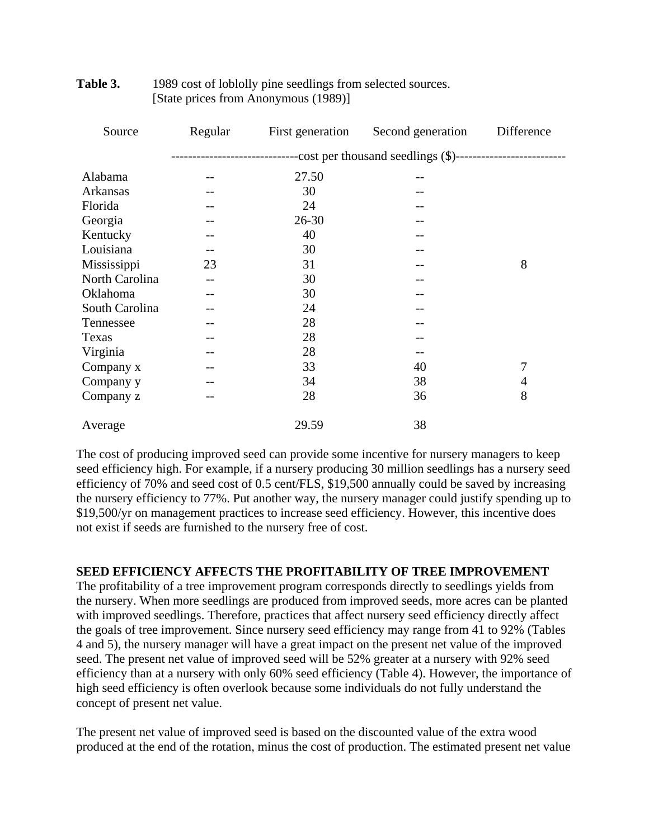| Source         | Regular           | First generation                                                                          | Second generation | Difference |  |
|----------------|-------------------|-------------------------------------------------------------------------------------------|-------------------|------------|--|
|                |                   | --------------------------------cost per thousand seedlings (\$)------------------------- |                   |            |  |
| Alabama        |                   | 27.50                                                                                     |                   |            |  |
| Arkansas       |                   | 30                                                                                        |                   |            |  |
| Florida        |                   | 24                                                                                        |                   |            |  |
| Georgia        |                   | $26 - 30$                                                                                 |                   |            |  |
| Kentucky       |                   | 40                                                                                        |                   |            |  |
| Louisiana      | $\qquad \qquad -$ | 30                                                                                        |                   |            |  |
| Mississippi    | 23                | 31                                                                                        |                   | 8          |  |
| North Carolina |                   | 30                                                                                        |                   |            |  |
| Oklahoma       |                   | 30                                                                                        |                   |            |  |
| South Carolina |                   | 24                                                                                        |                   |            |  |
| Tennessee      |                   | 28                                                                                        |                   |            |  |
| Texas          |                   | 28                                                                                        |                   |            |  |
| Virginia       |                   | 28                                                                                        |                   |            |  |
| Company x      |                   | 33                                                                                        | 40                | 7          |  |
| Company y      |                   | 34                                                                                        | 38                | 4          |  |
| Company z      |                   | 28                                                                                        | 36                | 8          |  |
| Average        |                   | 29.59                                                                                     | 38                |            |  |

### **Table 3.** 1989 cost of loblolly pine seedlings from selected sources. [State prices from Anonymous (1989)]

The cost of producing improved seed can provide some incentive for nursery managers to keep seed efficiency high. For example, if a nursery producing 30 million seedlings has a nursery seed efficiency of 70% and seed cost of 0.5 cent/FLS, \$19,500 annually could be saved by increasing the nursery efficiency to 77%. Put another way, the nursery manager could justify spending up to \$19,500/yr on management practices to increase seed efficiency. However, this incentive does not exist if seeds are furnished to the nursery free of cost.

## **SEED EFFICIENCY AFFECTS THE PROFITABILITY OF TREE IMPROVEMENT**

The profitability of a tree improvement program corresponds directly to seedlings yields from the nursery. When more seedlings are produced from improved seeds, more acres can be planted with improved seedlings. Therefore, practices that affect nursery seed efficiency directly affect the goals of tree improvement. Since nursery seed efficiency may range from 41 to 92% (Tables 4 and 5), the nursery manager will have a great impact on the present net value of the improved seed. The present net value of improved seed will be 52% greater at a nursery with 92% seed efficiency than at a nursery with only 60% seed efficiency (Table 4). However, the importance of high seed efficiency is often overlook because some individuals do not fully understand the concept of present net value.

The present net value of improved seed is based on the discounted value of the extra wood produced at the end of the rotation, minus the cost of production. The estimated present net value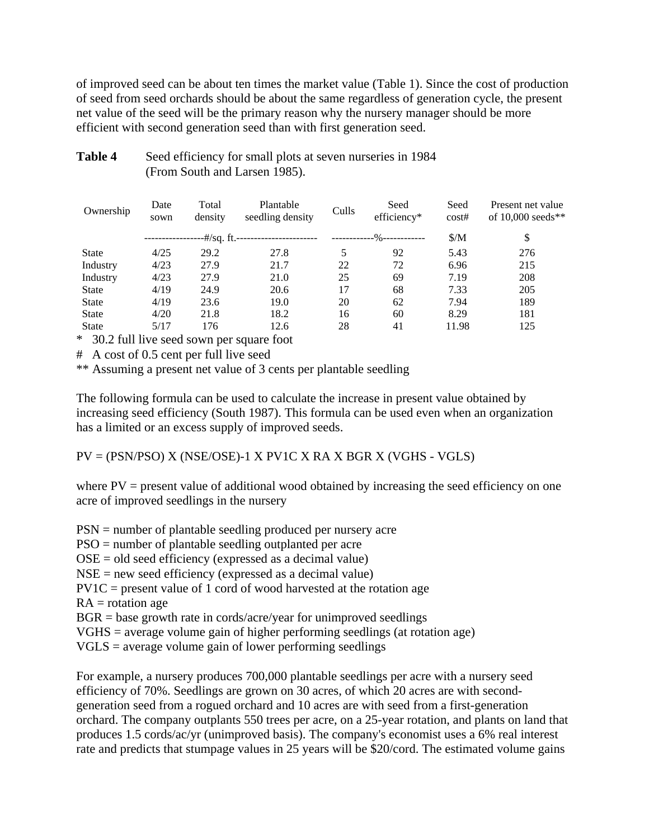of improved seed can be about ten times the market value (Table 1). Since the cost of production of seed from seed orchards should be about the same regardless of generation cycle, the present net value of the seed will be the primary reason why the nursery manager should be more efficient with second generation seed than with first generation seed.

| Ownership    | Date<br>sown | Total<br>density | Plantable<br>seedling density | Culls | Seed<br>efficiency* | Seed<br>cost# | Present net value<br>of $10,000$ seeds** |
|--------------|--------------|------------------|-------------------------------|-------|---------------------|---------------|------------------------------------------|
|              |              | -#/sq. ft.--     |                               |       | -----%-----------   | $\frac{S}{M}$ | \$                                       |
| <b>State</b> | 4/25         | 29.2             | 27.8                          | 5     | 92                  | 5.43          | 276                                      |
| Industry     | 4/23         | 27.9             | 21.7                          | 22    | 72                  | 6.96          | 215                                      |
| Industry     | 4/23         | 27.9             | 21.0                          | 25    | 69                  | 7.19          | 208                                      |
| <b>State</b> | 4/19         | 24.9             | 20.6                          | 17    | 68                  | 7.33          | 205                                      |
| <b>State</b> | 4/19         | 23.6             | 19.0                          | 20    | 62                  | 7.94          | 189                                      |
| <b>State</b> | 4/20         | 21.8             | 18.2                          | 16    | 60                  | 8.29          | 181                                      |
| <b>State</b> | 5/17         | 176              | 12.6                          | 28    | 41                  | 11.98         | 125                                      |

# Table 4 Seed efficiency for small plots at seven nurseries in 1984 (From South and Larsen 1985).

\* 30.2 full live seed sown per square foot

# A cost of 0.5 cent per full live seed

\*\* Assuming a present net value of 3 cents per plantable seedling

The following formula can be used to calculate the increase in present value obtained by increasing seed efficiency (South 1987). This formula can be used even when an organization has a limited or an excess supply of improved seeds.

PV = (PSN/PSO) X (NSE/OSE)-1 X PV1C X RA X BGR X (VGHS - VGLS)

where  $PV =$  present value of additional wood obtained by increasing the seed efficiency on one acre of improved seedlings in the nursery

PSN = number of plantable seedling produced per nursery acre

PSO = number of plantable seedling outplanted per acre

OSE = old seed efficiency (expressed as a decimal value)

NSE = new seed efficiency (expressed as a decimal value)

 $PV1C$  = present value of 1 cord of wood harvested at the rotation age

 $RA = rotation age$ 

 $BGR = base$  growth rate in cords/acre/year for unimproved seedlings

VGHS = average volume gain of higher performing seedlings (at rotation age)

VGLS = average volume gain of lower performing seedlings

For example, a nursery produces 700,000 plantable seedlings per acre with a nursery seed efficiency of 70%. Seedlings are grown on 30 acres, of which 20 acres are with secondgeneration seed from a rogued orchard and 10 acres are with seed from a first-generation orchard. The company outplants 550 trees per acre, on a 25-year rotation, and plants on land that produces 1.5 cords/ac/yr (unimproved basis). The company's economist uses a 6% real interest rate and predicts that stumpage values in 25 years will be \$20/cord. The estimated volume gains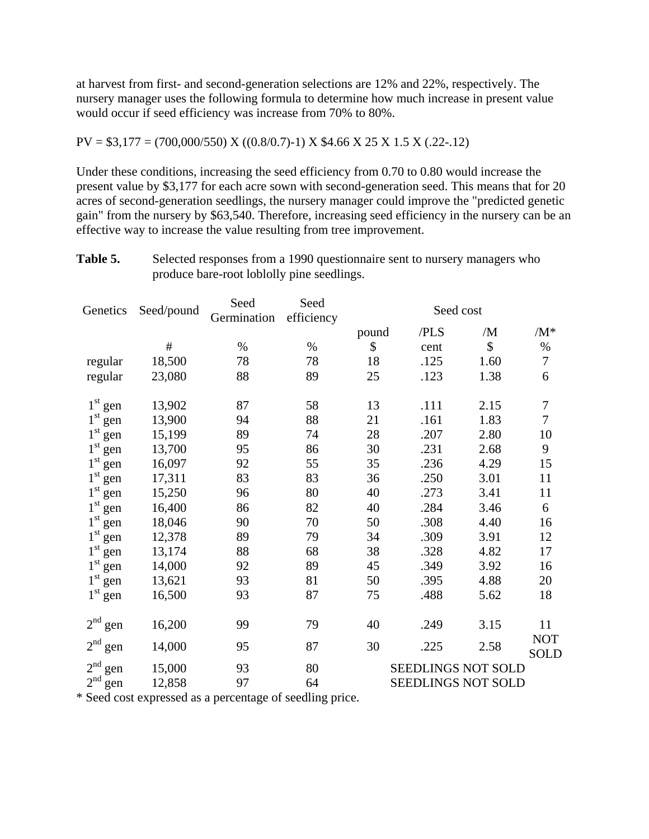at harvest from first- and second-generation selections are 12% and 22%, respectively. The nursery manager uses the following formula to determine how much increase in present value would occur if seed efficiency was increase from 70% to 80%.

### $PV = $3,177 = (700,000/550)$  X  $((0.8/0.7)-1)$  X \$4.66 X 25 X 1.5 X (.22-.12)

Under these conditions, increasing the seed efficiency from 0.70 to 0.80 would increase the present value by \$3,177 for each acre sown with second-generation seed. This means that for 20 acres of second-generation seedlings, the nursery manager could improve the "predicted genetic gain" from the nursery by \$63,540. Therefore, increasing seed efficiency in the nursery can be an effective way to increase the value resulting from tree improvement.

Table 5. Selected responses from a 1990 questionnaire sent to nursery managers who produce bare-root loblolly pine seedlings.

| Genetics               | Seed/pound | Seed<br>Germination | Seed<br>efficiency | Seed cost |                    |      |                           |
|------------------------|------------|---------------------|--------------------|-----------|--------------------|------|---------------------------|
|                        |            |                     |                    | pound     | /PLS               | /M   | $/M^*$                    |
|                        | $\#$       | $\%$                | $\%$               | \$        | cent               | \$   | $\%$                      |
| regular                | 18,500     | 78                  | 78                 | 18        | .125               | 1.60 | $\tau$                    |
| regular                | 23,080     | 88                  | 89                 | 25        | .123               | 1.38 | 6                         |
| $1^{\rm st}$ gen       | 13,902     | 87                  | 58                 | 13        | .111               | 2.15 | $\sqrt{ }$                |
| 1 <sup>st</sup><br>gen | 13,900     | 94                  | 88                 | 21        | .161               | 1.83 | $\overline{7}$            |
| $1^{\rm st}$ gen       | 15,199     | 89                  | 74                 | 28        | .207               | 2.80 | 10                        |
| $1st$ gen              | 13,700     | 95                  | 86                 | 30        | .231               | 2.68 | 9                         |
| $1^{\rm st}$<br>gen    | 16,097     | 92                  | 55                 | 35        | .236               | 4.29 | 15                        |
| 1 <sup>st</sup><br>gen | 17,311     | 83                  | 83                 | 36        | .250               | 3.01 | 11                        |
| 1 <sup>st</sup><br>gen | 15,250     | 96                  | 80                 | 40        | .273               | 3.41 | 11                        |
| $1st$ gen              | 16,400     | 86                  | 82                 | 40        | .284               | 3.46 | 6                         |
| $1^{\rm st}$ gen       | 18,046     | 90                  | 70                 | 50        | .308               | 4.40 | 16                        |
| $1^\mathrm{st}$<br>gen | 12,378     | 89                  | 79                 | 34        | .309               | 3.91 | 12                        |
| $1st$ gen              | 13,174     | 88                  | 68                 | 38        | .328               | 4.82 | 17                        |
| $1st$ gen              | 14,000     | 92                  | 89                 | 45        | .349               | 3.92 | 16                        |
| $1st$ gen              | 13,621     | 93                  | 81                 | 50        | .395               | 4.88 | 20                        |
| $1st$ gen              | 16,500     | 93                  | 87                 | 75        | .488               | 5.62 | 18                        |
| $2nd$ gen              | 16,200     | 99                  | 79                 | 40        | .249               | 3.15 | 11                        |
| $2nd$ gen              | 14,000     | 95                  | 87                 | 30        | .225               | 2.58 | <b>NOT</b><br><b>SOLD</b> |
| 2 <sup>nd</sup><br>gen | 15,000     | 93                  | 80                 |           | SEEDLINGS NOT SOLD |      |                           |
| $2nd$ gen              | 12,858     | 97                  | 64                 |           | SEEDLINGS NOT SOLD |      |                           |

\* Seed cost expressed as a percentage of seedling price.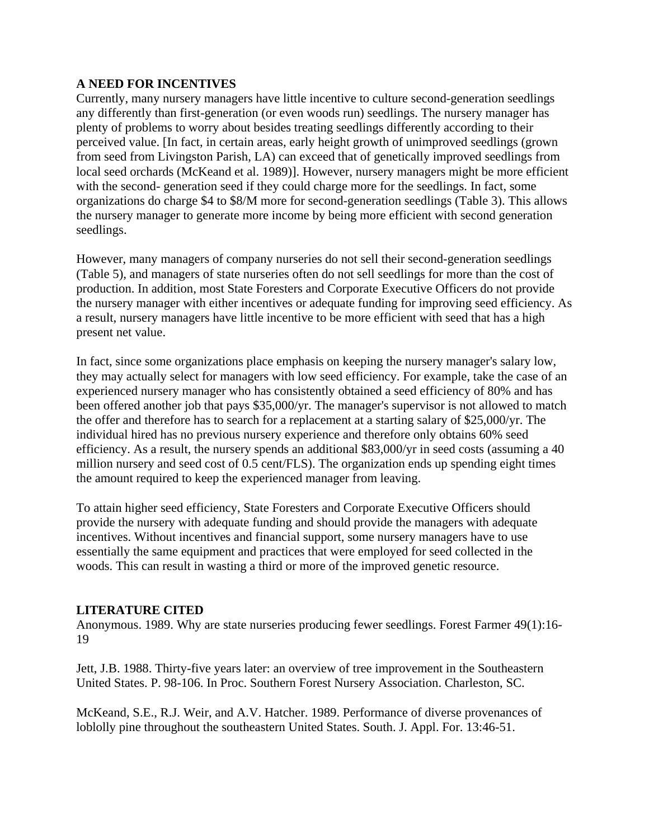## **A NEED FOR INCENTIVES**

Currently, many nursery managers have little incentive to culture second-generation seedlings any differently than first-generation (or even woods run) seedlings. The nursery manager has plenty of problems to worry about besides treating seedlings differently according to their perceived value. [In fact, in certain areas, early height growth of unimproved seedlings (grown from seed from Livingston Parish, LA) can exceed that of genetically improved seedlings from local seed orchards (McKeand et al. 1989)]. However, nursery managers might be more efficient with the second- generation seed if they could charge more for the seedlings. In fact, some organizations do charge \$4 to \$8/M more for second-generation seedlings (Table 3). This allows the nursery manager to generate more income by being more efficient with second generation seedlings.

However, many managers of company nurseries do not sell their second-generation seedlings (Table 5), and managers of state nurseries often do not sell seedlings for more than the cost of production. In addition, most State Foresters and Corporate Executive Officers do not provide the nursery manager with either incentives or adequate funding for improving seed efficiency. As a result, nursery managers have little incentive to be more efficient with seed that has a high present net value.

In fact, since some organizations place emphasis on keeping the nursery manager's salary low, they may actually select for managers with low seed efficiency. For example, take the case of an experienced nursery manager who has consistently obtained a seed efficiency of 80% and has been offered another job that pays \$35,000/yr. The manager's supervisor is not allowed to match the offer and therefore has to search for a replacement at a starting salary of \$25,000/yr. The individual hired has no previous nursery experience and therefore only obtains 60% seed efficiency. As a result, the nursery spends an additional \$83,000/yr in seed costs (assuming a 40 million nursery and seed cost of 0.5 cent/FLS). The organization ends up spending eight times the amount required to keep the experienced manager from leaving.

To attain higher seed efficiency, State Foresters and Corporate Executive Officers should provide the nursery with adequate funding and should provide the managers with adequate incentives. Without incentives and financial support, some nursery managers have to use essentially the same equipment and practices that were employed for seed collected in the woods. This can result in wasting a third or more of the improved genetic resource.

### **LITERATURE CITED**

Anonymous. 1989. Why are state nurseries producing fewer seedlings. Forest Farmer 49(1):16- 19

Jett, J.B. 1988. Thirty-five years later: an overview of tree improvement in the Southeastern United States. P. 98-106. In Proc. Southern Forest Nursery Association. Charleston, SC.

McKeand, S.E., R.J. Weir, and A.V. Hatcher. 1989. Performance of diverse provenances of loblolly pine throughout the southeastern United States. South. J. Appl. For. 13:46-51.